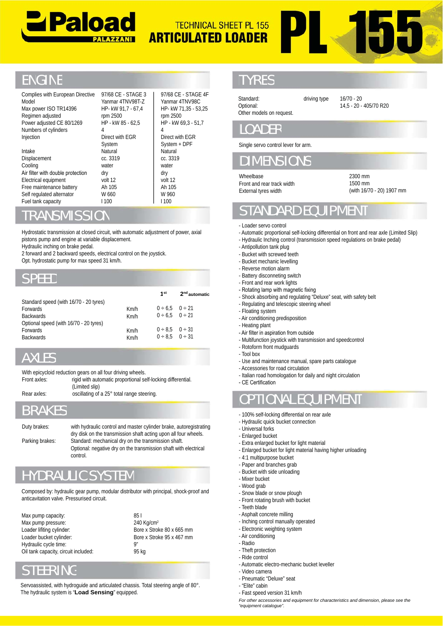



## **ENGINE**

| Complies with European Directive<br>Model<br>Max power ISO TR14396<br>Regimen adjusted<br>Power adjusted CE 80/1269                                                                                                                                                                                     | HP- kW 91,7 - 67,4<br>rpm 2500<br>HP - kW 85 - 62,5                                                                                   | 97/68 CE - STAGE 3<br>Yanmar 4TNV98T-Z                 | rpm 2500                                                    | 97/68 CE - STAGE 4F<br>Yanmar 4TNV98C<br>HP- kW 71,35 - 53,25<br>HP - kW 69,3 - 51,7 | Standard:<br>Optional:<br>Other models on request.                                                                                                                                                                                                                                                    | driving type |
|---------------------------------------------------------------------------------------------------------------------------------------------------------------------------------------------------------------------------------------------------------------------------------------------------------|---------------------------------------------------------------------------------------------------------------------------------------|--------------------------------------------------------|-------------------------------------------------------------|--------------------------------------------------------------------------------------|-------------------------------------------------------------------------------------------------------------------------------------------------------------------------------------------------------------------------------------------------------------------------------------------------------|--------------|
| Numbers of cylinders<br>Injection                                                                                                                                                                                                                                                                       | 4<br>Direct with EGR                                                                                                                  |                                                        | 4                                                           | Direct with EGR                                                                      | <b>LOADER</b>                                                                                                                                                                                                                                                                                         |              |
| Intake<br>Displacement<br>Cooling                                                                                                                                                                                                                                                                       | Natural<br>cc. 3319<br>water                                                                                                          | System<br>System + DPF<br>Natural<br>cc. 3319<br>water |                                                             |                                                                                      | Single servo control lever for arm.<br><b>DIMENSIONS</b>                                                                                                                                                                                                                                              |              |
| Air filter with double protection<br>Electrical equipment<br>Free maintenance battery<br>Self regulated alternator                                                                                                                                                                                      | dry<br>volt 12<br>Ah 105<br>W 660                                                                                                     |                                                        | dry<br>volt 12<br>Ah 105<br>W 960                           |                                                                                      | Wheelbase<br>Front and rear track width<br>External tyres width                                                                                                                                                                                                                                       |              |
| Fuel tank capacity<br><b>TRANSMISSION</b>                                                                                                                                                                                                                                                               | <b>1100</b>                                                                                                                           |                                                        | 1100                                                        |                                                                                      | <b>STANDARD EQUI</b>                                                                                                                                                                                                                                                                                  |              |
| Hydrostatic transmission at closed circuit, with automatic adjustment of power, axial<br>pistons pump and engine at variable displacement.<br>Hydraulic inching on brake pedal.<br>2 forward and 2 backward speeds, electrical control on the joystick.<br>Opt. hydrostatic pump for max speed 31 km/h. |                                                                                                                                       |                                                        |                                                             |                                                                                      | - Loader servo control<br>- Automatic proportional self-locking differ<br>- Hydraulic Inching control (transmission :<br>- Antipollution tank plug<br>- Bucket with screwed teeth<br>- Bucket mechanic levelling<br>- Reverse motion alarm                                                            |              |
| <b>SPEED</b>                                                                                                                                                                                                                                                                                            |                                                                                                                                       |                                                        |                                                             |                                                                                      | - Battery disconneting switch<br>- Front and rear work lights                                                                                                                                                                                                                                         |              |
| Standard speed (with 16/70 - 20 tyres)<br>Forwards<br><b>Backwards</b><br>Optional speed (with 16/70 - 20 tyres)<br>Forwards<br><b>Backwards</b>                                                                                                                                                        |                                                                                                                                       | Km/h<br>Km/h<br>Km/h<br>Km/h                           | 1 <sup>st</sup><br>0 ÷ 6,5<br>0 ÷ 6,5<br>0 ÷ 8,5<br>0 ÷ 8.5 | 2 <sup>nd</sup> automatic<br>0 ÷ 21<br>$0 \div 21$<br>0 ÷ 31<br>0 ÷ 31               | - Rotating lamp with magnetic fixing<br>- Shock absorbing and regulating "Deluxe<br>- Regulating and telescopic steering whee<br>- Floating system<br>- Air conditioning predisposition<br>- Heating plant<br>- Air filter in aspiration from outside<br>- Multifunction joystick with transmission a |              |
| <b>AXLES</b>                                                                                                                                                                                                                                                                                            |                                                                                                                                       |                                                        |                                                             |                                                                                      | - Rotoform front mudguards<br>- Tool box<br>- Use and maintenance manual, spare pa                                                                                                                                                                                                                    |              |
| With epicycloid reduction gears on all four driving wheels.<br>Front axles:                                                                                                                                                                                                                             | rigid with automatic proportional self-locking differential.<br>(Limited slip)                                                        |                                                        |                                                             |                                                                                      | - Accessories for road circulation<br>- Italian road homologation for daily and r<br>- CE Certification                                                                                                                                                                                               |              |
| Rear axles:                                                                                                                                                                                                                                                                                             | oscillating of a 25° total range steering.                                                                                            |                                                        |                                                             |                                                                                      | <b>OPTIONAL EQUIP</b>                                                                                                                                                                                                                                                                                 |              |
| <b>BRAKES</b>                                                                                                                                                                                                                                                                                           |                                                                                                                                       |                                                        |                                                             |                                                                                      | - 100% self-locking differential on rear axl<br>- Hydraulic quick bucket connection                                                                                                                                                                                                                   |              |
| Duty brakes:                                                                                                                                                                                                                                                                                            | with hydraulic control and master cylinder brake, autoregistrating<br>dry disk on the transmission shaft acting upon all four wheels. |                                                        |                                                             |                                                                                      | - Universal forks<br>- Enlarged bucket                                                                                                                                                                                                                                                                |              |
| Parking brakes:                                                                                                                                                                                                                                                                                         | Standard: mechanical dry on the transmission shaft.<br>Optional: negative dry on the transmission shaft with electrical<br>control.   |                                                        |                                                             |                                                                                      | - Extra enlarged bucket for light material<br>- Enlarged bucket for light material having<br>- 4:1 multipurpose bucket<br>- Paper and branches grab                                                                                                                                                   |              |
| <b>HYDRAULIC SYSTEM</b>                                                                                                                                                                                                                                                                                 |                                                                                                                                       |                                                        |                                                             |                                                                                      | - Bucket with side unloading<br>- Mixer bucket                                                                                                                                                                                                                                                        |              |
| Composed by: hydraulic gear pump, modular distributor with principal, shock-proof and<br>anticavitation valve. Pressurised circuit.                                                                                                                                                                     |                                                                                                                                       |                                                        |                                                             |                                                                                      | - Wood grab<br>- Snow blade or snow plough<br>- Front rotating brush with bucket<br>- Teeth blade                                                                                                                                                                                                     |              |
| Max pump capacity:                                                                                                                                                                                                                                                                                      |                                                                                                                                       | 851                                                    |                                                             |                                                                                      | - Asphalt concrete milling                                                                                                                                                                                                                                                                            |              |

#### RANSMISSION

#### SPEED

| Hydraulic inching on brake pedal.                  | pistons pump and engine at variable displacement.<br>2 forward and 2 backward speeds, electrical control on the joystick.<br>Opt. hydrostatic pump for max speed 31 km/h. |                        |                           |                           | - Hydraulic Inching control (transmission speed regulations on brake pedal)<br>- Antipollution tank plug<br>- Bucket with screwed teeth<br>- Bucket mechanic levelling |
|----------------------------------------------------|---------------------------------------------------------------------------------------------------------------------------------------------------------------------------|------------------------|---------------------------|---------------------------|------------------------------------------------------------------------------------------------------------------------------------------------------------------------|
| <b>SPEED</b>                                       |                                                                                                                                                                           |                        |                           |                           | - Reverse motion alarm<br>- Battery disconneting switch<br>- Front and rear work lights                                                                                |
|                                                    |                                                                                                                                                                           |                        | 1 <sup>st</sup>           | 2 <sup>nd</sup> automatic | - Rotating lamp with magnetic fixing<br>- Shock absorbing and regulating "Deluxe" seat, with safety belt                                                               |
| Standard speed (with 16/70 - 20 tyres)<br>Forwards |                                                                                                                                                                           | Km/h                   | 0 ÷ 6.5                   | 0 ÷ 21                    | - Regulating and telescopic steering wheel                                                                                                                             |
| <b>Backwards</b>                                   |                                                                                                                                                                           | Km/h                   | 0 ÷ 6.5                   | $0 \div 21$               | - Floating system<br>- Air conditioning predisposition                                                                                                                 |
| Optional speed (with 16/70 - 20 tyres)             |                                                                                                                                                                           |                        |                           |                           | - Heating plant                                                                                                                                                        |
| Forwards                                           |                                                                                                                                                                           | Km/h                   |                           | $0 \div 8.5$ $0 \div 31$  | - Air filter in aspiration from outside                                                                                                                                |
| <b>Backwards</b>                                   |                                                                                                                                                                           | Km/h                   |                           | $0 \div 8.5$ $0 \div 31$  | - Multifunction joystick with transmission and speedcontrol                                                                                                            |
|                                                    |                                                                                                                                                                           |                        |                           |                           | - Rotoform front mudguards                                                                                                                                             |
| <b>AXLES</b>                                       |                                                                                                                                                                           |                        |                           |                           | - Tool box                                                                                                                                                             |
|                                                    |                                                                                                                                                                           |                        |                           |                           | - Use and maintenance manual, spare parts catalogue                                                                                                                    |
|                                                    | With epicycloid reduction gears on all four driving wheels.                                                                                                               |                        |                           |                           | - Accessories for road circulation<br>- Italian road homologation for daily and night circulation                                                                      |
| Front axles:                                       | rigid with automatic proportional self-locking differential.                                                                                                              |                        |                           |                           | - CE Certification                                                                                                                                                     |
|                                                    | (Limited slip)                                                                                                                                                            |                        |                           |                           |                                                                                                                                                                        |
| Rear axles:                                        | oscillating of a 25° total range steering.                                                                                                                                |                        |                           |                           | <b>OPTIONAL EQUIPMENT</b>                                                                                                                                              |
| <b>BRAKES</b>                                      |                                                                                                                                                                           |                        |                           |                           | - 100% self-locking differential on rear axle                                                                                                                          |
|                                                    |                                                                                                                                                                           |                        |                           |                           | - Hydraulic quick bucket connection                                                                                                                                    |
| Duty brakes:                                       | with hydraulic control and master cylinder brake, autoregistrating                                                                                                        |                        |                           |                           | - Universal forks                                                                                                                                                      |
|                                                    | dry disk on the transmission shaft acting upon all four wheels.                                                                                                           |                        |                           |                           | - Enlarged bucket                                                                                                                                                      |
| Parking brakes:                                    | Standard: mechanical dry on the transmission shaft.<br>Optional: negative dry on the transmission shaft with electrical                                                   |                        |                           |                           | - Extra enlarged bucket for light material                                                                                                                             |
|                                                    | control.                                                                                                                                                                  |                        |                           |                           | - Enlarged bucket for light material having higher unloading                                                                                                           |
|                                                    |                                                                                                                                                                           |                        |                           |                           | - 4:1 multipurpose bucket<br>- Paper and branches grab                                                                                                                 |
|                                                    |                                                                                                                                                                           |                        |                           |                           | - Bucket with side unloading                                                                                                                                           |
|                                                    | <b>HYDRAULIC SYSTEM</b>                                                                                                                                                   |                        |                           |                           | - Mixer bucket                                                                                                                                                         |
|                                                    |                                                                                                                                                                           |                        |                           |                           | - Wood grab                                                                                                                                                            |
|                                                    | Composed by: hydraulic gear pump, modular distributor with principal, shock-proof and                                                                                     |                        |                           |                           | - Snow blade or snow plough                                                                                                                                            |
| anticavitation valve. Pressurised circuit.         |                                                                                                                                                                           |                        |                           |                           | - Front rotating brush with bucket                                                                                                                                     |
|                                                    |                                                                                                                                                                           |                        |                           |                           | - Teeth blade                                                                                                                                                          |
| Max pump capacity:                                 |                                                                                                                                                                           | 851                    |                           |                           | - Asphalt concrete milling<br>- Inching control manually operated                                                                                                      |
| Max pump pressure:<br>Loader lifiting cylinder:    |                                                                                                                                                                           | 240 Kg/cm <sup>2</sup> | Bore x Stroke 80 x 665 mm |                           | - Electronic weighting system                                                                                                                                          |
| Loader bucket cylinder:                            |                                                                                                                                                                           |                        | Bore x Stroke 95 x 467 mm |                           | - Air conditioning                                                                                                                                                     |
| Hydraulic cycle time:                              |                                                                                                                                                                           | g"                     |                           |                           | - Radio                                                                                                                                                                |
| Oil tank capacity, circuit included:               |                                                                                                                                                                           | 95 kg                  |                           |                           | - Theft protection                                                                                                                                                     |
|                                                    |                                                                                                                                                                           |                        |                           |                           | - Ride control                                                                                                                                                         |
| <b>STEERING</b>                                    |                                                                                                                                                                           |                        |                           |                           | - Automatic electro-mechanic bucket leveller                                                                                                                           |
|                                                    |                                                                                                                                                                           |                        |                           |                           | - Video camera                                                                                                                                                         |
|                                                    | Servoassisted, with hydroguide and articulated chassis. Total steering angle of 80°.                                                                                      |                        |                           |                           | - Pneumatic "Deluxe" seat<br>- "Elite" cabin                                                                                                                           |
|                                                    | The hydraulic system is "Load Sensing" equipped.                                                                                                                          |                        |                           |                           | - Fast speed version 31 km/h                                                                                                                                           |
|                                                    |                                                                                                                                                                           |                        |                           |                           |                                                                                                                                                                        |

## **KLES**

| With epicycloid reduction gears on all four driving wheels. |                                                              |  |  |  |  |  |
|-------------------------------------------------------------|--------------------------------------------------------------|--|--|--|--|--|
| Front axles:                                                | rigid with automatic proportional self-locking differential. |  |  |  |  |  |
|                                                             | (Limited slip)                                               |  |  |  |  |  |
| Rear axles:                                                 | oscillating of a 25° total range steering.                   |  |  |  |  |  |

# YDRAULIC SYSTEM

## STEERING

Servoassisted, with hydroguide and articulated chassis. Total steering angle of 80°. The hydraulic system is "**Load Sensing**" equipped.

## TYRES

driving type 16/70 - 20 14,5 - 20 - 405/70 R20

## LOADER

## DIMENSIONS

2300 mm 1500 mm (with 16/70 - 20) 1907 mm

# STANDARD EQUIPMENT

- Loader servo control
- Automatic proportional self-locking differential on front and rear axle (Limited Slip)
- Hydraulic Inching control (transmission speed regulations on brake pedal)
- Antipollution tank plug
- Bucket with screwed teeth
- Bucket mechanic levelling
- Reverse motion alarm
- Battery disconneting switch
- Front and rear work lights
- Rotating lamp with magnetic fixing
- Shock absorbing and regulating "Deluxe" seat, with safety belt
- Regulating and telescopic steering wheel
- Floating system
- Air conditioning predisposition
- Heating plant
- Air filter in aspiration from outside
- Multifunction joystick with transmission and speedcontrol
- Rotoform front mudguards
- Tool box
- Use and maintenance manual, spare parts catalogue
- Accessories for road circulation
- Italian road homologation for daily and night circulation
- CE Certification
- OPTIONAL EQUIPMENT
- 100% self-locking differential on rear axle
- Hydraulic quick bucket connection
- Universal forks
- Enlarged bucket
- Extra enlarged bucket for light material
- Enlarged bucket for light material having higher unloading
- 4:1 multipurpose bucket
- Paper and branches grab
- Bucket with side unloading - Mixer bucket
- Wood grab
- 
- Snow blade or snow plough - Front rotating brush with bucket
- Teeth blade
- Asphalt concrete milling
- Inching control manually operated
- Electronic weighting system
- Air conditioning
- Radio
- Theft protection
- Ride control
	- Automatic electro-mechanic bucket leveller
	- Video camera
	- Pneumatic "Deluxe" seat
	- "Elite" cabin
	- Fast speed version 31 km/h

*For other accessories and equipment for characteristics and dimension, please see the the "equipment catalogue".*